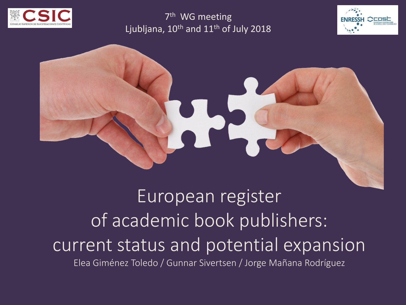

7<sup>th</sup> WG meeting Ljubljana,  $10^{th}$  and  $11^{th}$  of July 2018





European register of academic book publishers: current status and potential expansion Elea Giménez Toledo / Gunnar Sivertsen / Jorge Mañana Rodríguez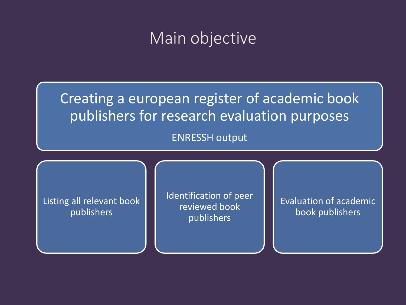### Main objective

Creating a european register of academic book publishers for research evaluation purposes

ENRESSH output

Listing all relevant book publishers

Identification of peer reviewed book publishers

Evaluation of academic book publishers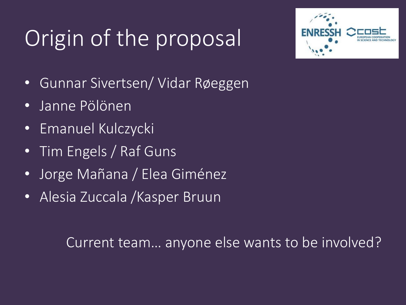# Origin of the proposal



- Gunnar Sivertsen/ Vidar Røeggen
- Janne Pölönen
- Emanuel Kulczycki
- Tim Engels / Raf Guns
- Jorge Mañana / Elea Giménez
- Alesia Zuccala /Kasper Bruun

Current team… anyone else wants to be involved?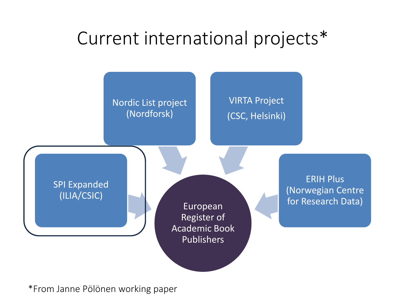### Current international projects\*



\*From Janne Pölönen working paper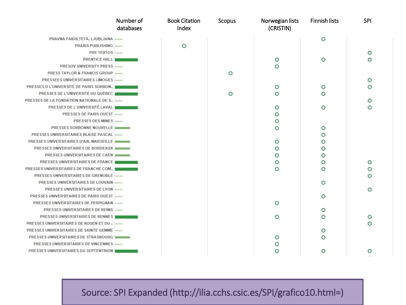|                                                | Number of<br>databases | <b>Book Citation</b><br>Index | Scopus | Norwegian lists<br>(CRISTIN) | Finnish lists | SPI |
|------------------------------------------------|------------------------|-------------------------------|--------|------------------------------|---------------|-----|
| PRAVNA FAKULTETA, LJUBLJANA                    |                        |                               |        |                              | $\circ$       |     |
| <b>PRAXIS PUBLISHING</b>                       |                        | $\circ$                       |        |                              |               |     |
| <b>PRE TEXTOS</b>                              |                        |                               |        |                              |               | O   |
| <b>PRENTICE HALL</b>                           |                        |                               |        | o                            | O             | O   |
| <b>PRESOV UNIVERSITY PRESS</b>                 |                        |                               |        | O                            |               |     |
| <b>PRESS TAYLOR &amp; FRANCIS GROUP</b>        |                        |                               | O      |                              |               |     |
| PRESSEES UNIVERSITAIRES LIMOGES                |                        |                               |        |                              |               | O   |
| PRESSES D L'UNIVERSITÉ DE PARIS SORBON         |                        |                               |        | O                            | $\circ$       | O   |
| PRESSES DE L'UNIVERSITÉ DU QUÉBEC              |                        |                               | O      | O                            | ∩             |     |
| PRESSES DE LA FONDATION NATIONALE DE S.,       |                        |                               |        |                              |               |     |
| PRESSES DE L'UNIVERSITÉ LAVAL                  |                        |                               |        | O                            | $\circ$       | O   |
| <b>PRESSES DE PARIS OUEST</b>                  |                        |                               |        | o                            |               |     |
| <b>PRESSES DES MINES</b>                       |                        |                               |        | o                            |               |     |
| <b>PRESSES SORBONNE NOUVELLE</b>               |                        |                               |        | O                            | O             |     |
| PRESSES UNIVERSITAIRES BLAISE PASCAL           |                        |                               |        |                              | o             |     |
| <b>PRESSES UNIVERSITAIRES D'AIX, MARSEILLE</b> |                        |                               |        | $\circ$                      | o             |     |
| <b>PRESSES UNIVERSITAIRES DE BORDEAUX</b>      |                        |                               |        | о                            | o             |     |
| <b>PRESSES UNIVERSITAIRES DE CAEN</b>          |                        |                               |        | o                            | o             |     |
| <b>PRESSES UNIVERSITAIRES DE FRANCE</b>        |                        |                               |        | O                            | o             | O   |
| PRESSES UNIVERSITAIRES DE FRANCHE COM          |                        |                               |        | O                            | O             |     |
| PRESSES UNIVERSITAIRES DE GRENOBLE             |                        |                               |        |                              |               | O   |
| PRESSES UNIVERSITAIRES DE LOUVAIN              |                        |                               |        |                              | $\circ$       |     |
| <b>PRESSES UNIVERSITAIRES DE LYON</b>          |                        |                               |        |                              |               | o   |
| <b>PRESSES UNIVERSITAIRES DE PARIS OUEST</b>   |                        |                               |        |                              | $\circ$       |     |
| PRESSES UNIVERSITAIRES DE PERPIGNAN            |                        |                               |        | $\circ$                      |               |     |
| PRESSES UNIVERSITAIRES DE REIMS                |                        |                               |        |                              | $\circ$       |     |
| <b>PRESSES UNIVERSITAIRES DE RENNES</b>        |                        |                               |        | O                            | O             |     |
| PRESSES UNIVERSITAIRES DE ROUEN ET DU          |                        |                               |        |                              |               | റ   |
| PRESSES UNIVERSITAIRES DE SAINTE GEMME         |                        |                               |        |                              | o             |     |
| PRESSES UNIVERSITAIRES DE STRASBOURG           |                        |                               |        | o                            | O             |     |
| <b>PRESSES UNIVERSITAIRES DE VINCENNES</b>     |                        |                               |        | o                            |               |     |
| PRESSES UNIVERSITAIRES DU SEPTENTRION          |                        |                               |        | O                            | O             | O   |

Source: SPI Expanded (http://ilia.cchs.csic.es/SPI/grafico10.html=)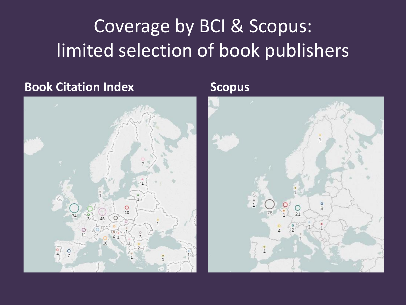### Coverage by BCI & Scopus: limited selection of book publishers

#### **Book Citation Index Scopus**



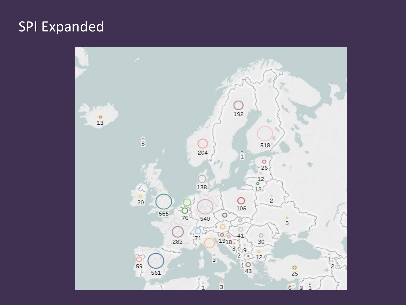### SPI Expanded

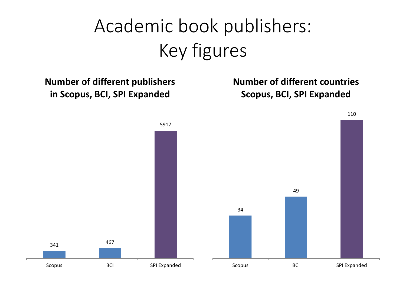## Academic book publishers: Key figures

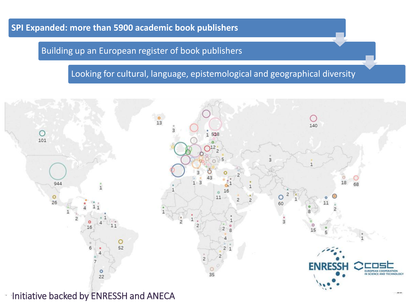#### **SPI Expanded: more than 5900 academic book publishers**

#### Building up an European register of book publishers

#### Looking for cultural, language, epistemological and geographical diversity

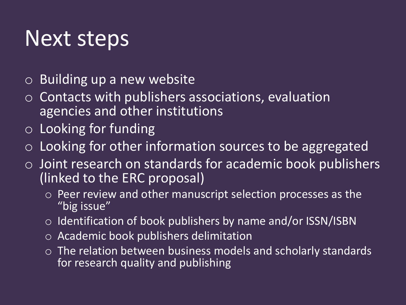## Next steps

- o Building up a new website
- Contacts with publishers associations, evaluation agencies and other institutions
- o Looking for funding
- o Looking for other information sources to be aggregated
- $\circ$  Joint research on standards for academic book publishers (linked to the ERC proposal)
	- o Peer review and other manuscript selection processes as the "big issue"
	- o Identification of book publishers by name and/or ISSN/ISBN
	- o Academic book publishers delimitation
	- o The relation between business models and scholarly standards for research quality and publishing